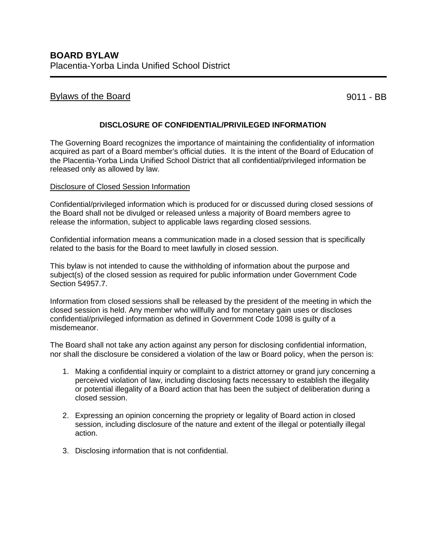## Bylaws of the Board 8011 - BB

## **DISCLOSURE OF CONFIDENTIAL/PRIVILEGED INFORMATION**

The Governing Board recognizes the importance of maintaining the confidentiality of information acquired as part of a Board member's official duties. It is the intent of the Board of Education of the Placentia-Yorba Linda Unified School District that all confidential/privileged information be released only as allowed by law.

## Disclosure of Closed Session Information

Confidential/privileged information which is produced for or discussed during closed sessions of the Board shall not be divulged or released unless a majority of Board members agree to release the information, subject to applicable laws regarding closed sessions.

Confidential information means a communication made in a closed session that is specifically related to the basis for the Board to meet lawfully in closed session.

This bylaw is not intended to cause the withholding of information about the purpose and subject(s) of the closed session as required for public information under Government Code Section 54957.7.

Information from closed sessions shall be released by the president of the meeting in which the closed session is held. Any member who willfully and for monetary gain uses or discloses confidential/privileged information as defined in Government Code 1098 is guilty of a misdemeanor.

The Board shall not take any action against any person for disclosing confidential information, nor shall the disclosure be considered a violation of the law or Board policy, when the person is:

- 1. Making a confidential inquiry or complaint to a district attorney or grand jury concerning a perceived violation of law, including disclosing facts necessary to establish the illegality or potential illegality of a Board action that has been the subject of deliberation during a closed session.
- 2. Expressing an opinion concerning the propriety or legality of Board action in closed session, including disclosure of the nature and extent of the illegal or potentially illegal action.
- 3. Disclosing information that is not confidential.